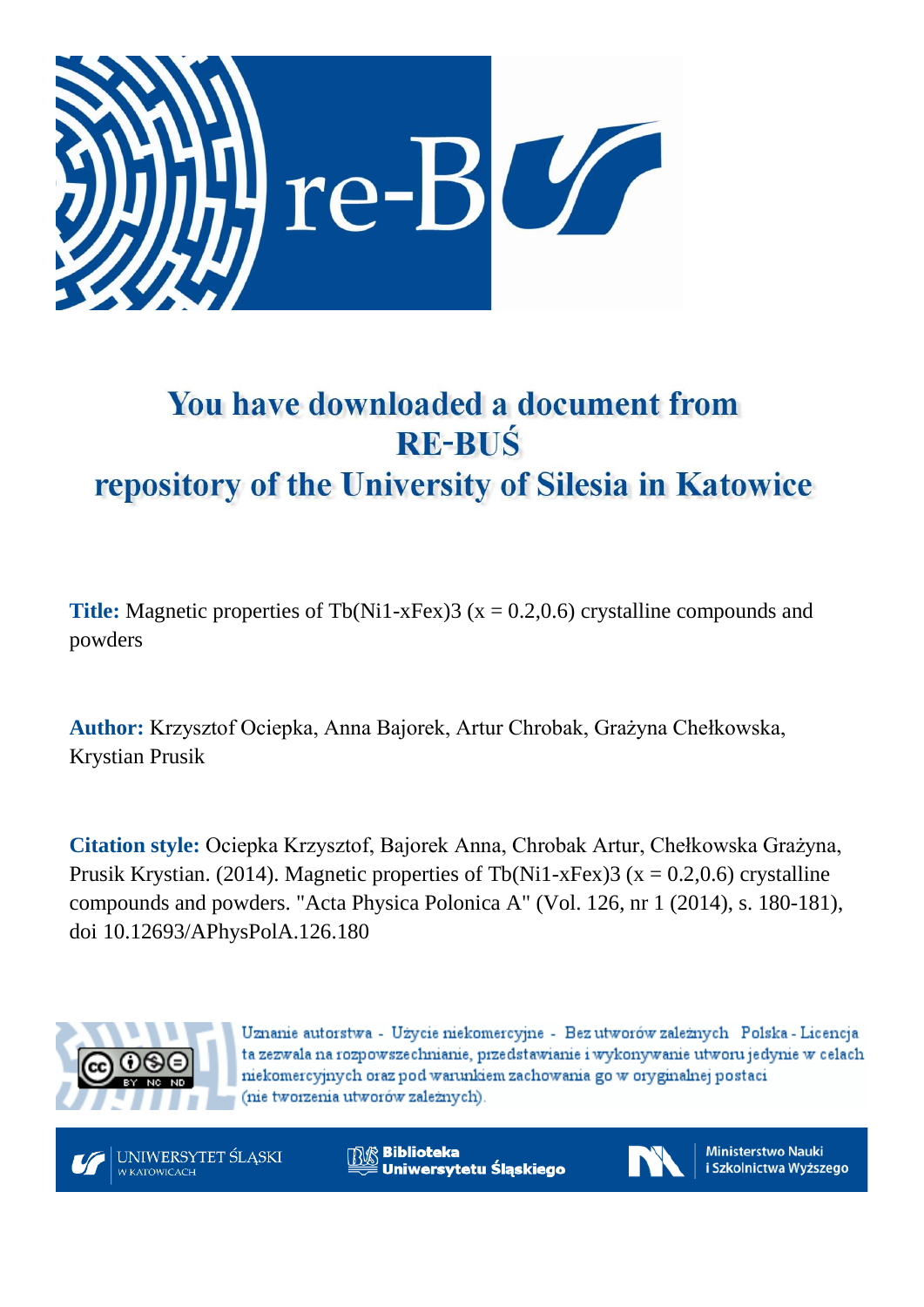

# You have downloaded a document from **RE-BUŚ** repository of the University of Silesia in Katowice

**Title:** Magnetic properties of Tb(Ni1-xFex)3 ( $x = 0.2,0.6$ ) crystalline compounds and powders

**Author:** Krzysztof Ociepka, Anna Bajorek, Artur Chrobak, Grażyna Chełkowska, Krystian Prusik

**Citation style:** Ociepka Krzysztof, Bajorek Anna, Chrobak Artur, Chełkowska Grażyna, Prusik Krystian. (2014). Magnetic properties of Tb(Ni1-xFex)3 ( $x = 0.2, 0.6$ ) crystalline compounds and powders. "Acta Physica Polonica A" (Vol. 126, nr 1 (2014), s. 180-181), doi 10.12693/APhysPolA.126.180



Uznanie autorstwa - Użycie niekomercyjne - Bez utworów zależnych Polska - Licencja ta zezwala na rozpowszechnianie, przedstawianie i wykonywanie utworu jedynie w celach niekomercyjnych oraz pod warunkiem zachowania go w oryginalnej postaci (nie tworzenia utworów zależnych).



**Biblioteka** Uniwersytetu Śląskiego



**Ministerstwo Nauki** i Szkolnictwa Wyższego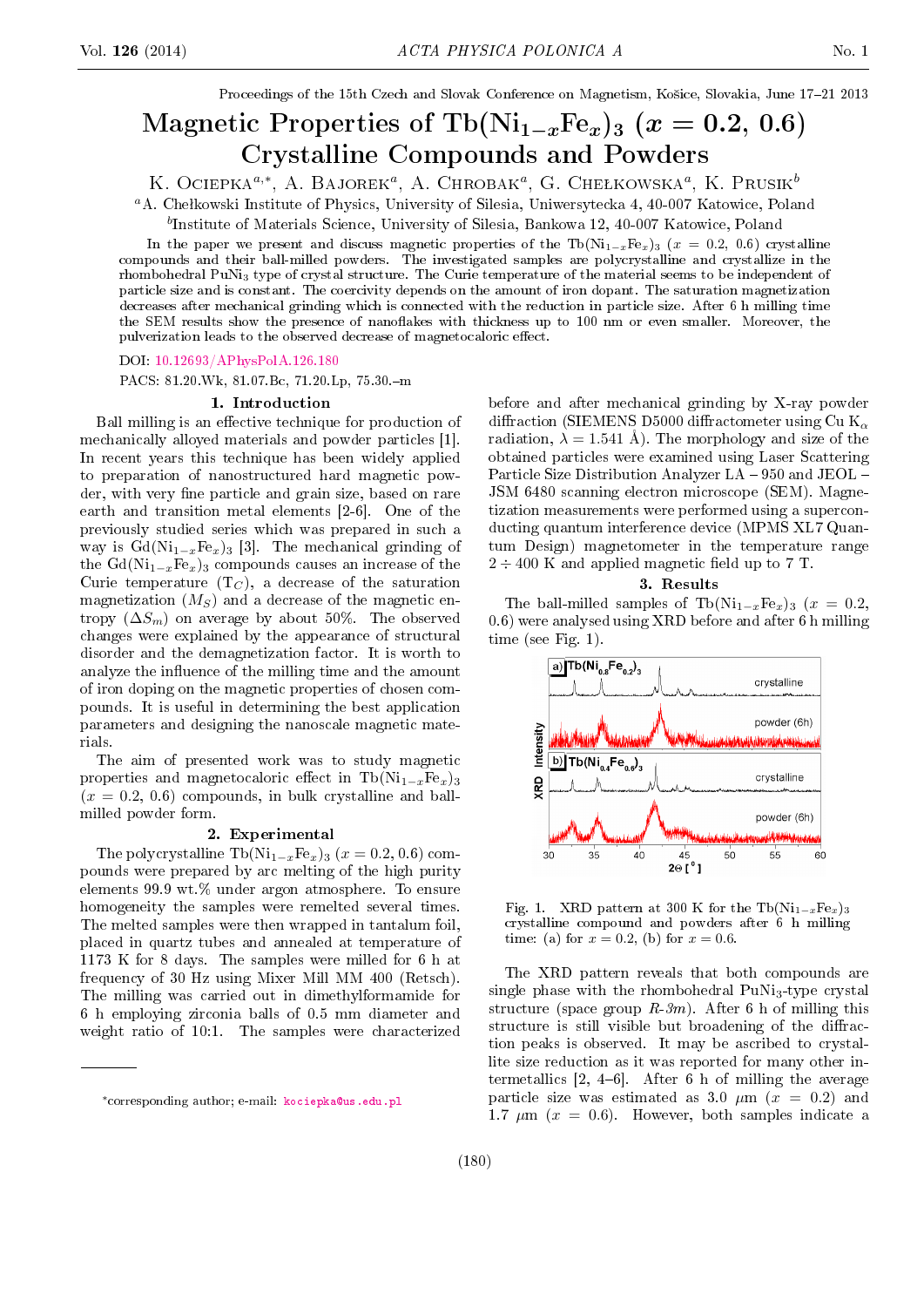Proceedings of the 15th Czech and Slovak Conference on Magnetism, Košice, Slovakia, June 17-21 2013

# Magnetic Properties of Tb( $\text{Ni}_{1-x}\text{Fe}_x$ )<sub>3</sub> ( $x = 0.2, 0.6$ ) Crystalline Compounds and Powders

K. Ociepka<sup> $a,*$ </sup>, A. Bajorek<sup>a</sup>, A. Chrobak<sup>a</sup>, G. Chełkowska<sup> $a$ </sup>, K. Prusik $^b$ 

<sup>a</sup>A. Chełkowski Institute of Physics, University of Silesia, Uniwersytecka 4, 40-007 Katowice, Poland

b Institute of Materials Science, University of Silesia, Bankowa 12, 40-007 Katowice, Poland

In the paper we present and discuss magnetic properties of the Tb(Ni<sub>1−x</sub>Fe<sub>x</sub>)<sub>3</sub> (x = 0.2, 0.6) crystalline compounds and their ball-milled powders. The investigated samples are polycrystalline and crystallize in the rhombohedral PuNi<sup>3</sup> type of crystal structure. The Curie temperature of the material seems to be independent of particle size and is constant. The coercivity depends on the amount of iron dopant. The saturation magnetization decreases after mechanical grinding which is connected with the reduction in particle size. After 6 h milling time the SEM results show the presence of nanoflakes with thickness up to 100 nm or even smaller. Moreover, the pulverization leads to the observed decrease of magnetocaloric effect.

DOI: [10.12693/APhysPolA.126.180](http://dx.doi.org/10.12693/APhysPolA.126.180)

PACS: 81.20.Wk, 81.07.Bc, 71.20.Lp, 75.30.-m

#### 1. Introduction

Ball milling is an effective technique for production of mechanically alloyed materials and powder particles [1]. In recent years this technique has been widely applied to preparation of nanostructured hard magnetic powder, with very fine particle and grain size, based on rare earth and transition metal elements [2-6]. One of the previously studied series which was prepared in such a way is  $Gd(Ni_{1-x}Fe_x)_3$  [3]. The mechanical grinding of the  $Gd(Ni_{1-x}Fe_x)_3$  compounds causes an increase of the Curie temperature  $(T_C)$ , a decrease of the saturation magnetization  $(M<sub>S</sub>)$  and a decrease of the magnetic entropy  $(\Delta S_m)$  on average by about 50%. The observed changes were explained by the appearance of structural disorder and the demagnetization factor. It is worth to analyze the influence of the milling time and the amount of iron doping on the magnetic properties of chosen compounds. It is useful in determining the best application parameters and designing the nanoscale magnetic materials.

The aim of presented work was to study magnetic properties and magnetocaloric effect in Tb(Ni<sub>1−x</sub>Fe<sub>x</sub>)<sub>3</sub>  $(x = 0.2, 0.6)$  compounds, in bulk crystalline and ballmilled powder form.

#### 2. Experimental

The polycrystalline Tb(Ni<sub>1−x</sub>Fe<sub>x</sub>)<sub>3</sub> (x = 0.2, 0.6) compounds were prepared by arc melting of the high purity elements 99.9 wt.% under argon atmosphere. To ensure homogeneity the samples were remelted several times. The melted samples were then wrapped in tantalum foil, placed in quartz tubes and annealed at temperature of 1173 K for 8 days. The samples were milled for 6 h at frequency of 30 Hz using Mixer Mill MM 400 (Retsch). The milling was carried out in dimethylformamide for 6 h employing zirconia balls of 0.5 mm diameter and weight ratio of 10:1. The samples were characterized

before and after mechanical grinding by X-ray powder diffraction (SIEMENS D5000 diffractometer using  $Cu K<sub>α</sub>$ radiation,  $\lambda = 1.541$  Å). The morphology and size of the obtained particles were examined using Laser Scattering Particle Size Distribution Analyzer  $LA - 950$  and  $JEOL -$ JSM 6480 scanning electron microscope (SEM). Magnetization measurements were performed using a superconducting quantum interference device (MPMS XL7 Quantum Design) magnetometer in the temperature range  $2 \div 400$  K and applied magnetic field up to 7 T.

3. Results

The ball-milled samples of Tb(Ni<sub>1−x</sub>Fe<sub>x</sub>)<sub>3</sub> (x = 0.2, 0.6) were analysed using XRD before and after 6 h milling time (see Fig. 1).



Fig. 1. XRD pattern at 300 K for the Tb( $Ni_{1-x}Fe_x$ )<sub>3</sub> crystalline compound and powders after 6 h milling time: (a) for  $x = 0.2$ , (b) for  $x = 0.6$ .

The XRD pattern reveals that both compounds are single phase with the rhombohedral  $PuNi<sub>3</sub>-type$  crystal structure (space group  $R-3m$ ). After 6 h of milling this structure is still visible but broadening of the diffraction peaks is observed. It may be ascribed to crystallite size reduction as it was reported for many other intermetallics  $[2, 4-6]$ . After 6 h of milling the average particle size was estimated as 3.0  $\mu$ m ( $x = 0.2$ ) and 1.7  $\mu$ m ( $x = 0.6$ ). However, both samples indicate a

<sup>∗</sup>corresponding author; e-mail: [kociepka@us.edu.pl](mailto:kociepka@us.edu.pl)